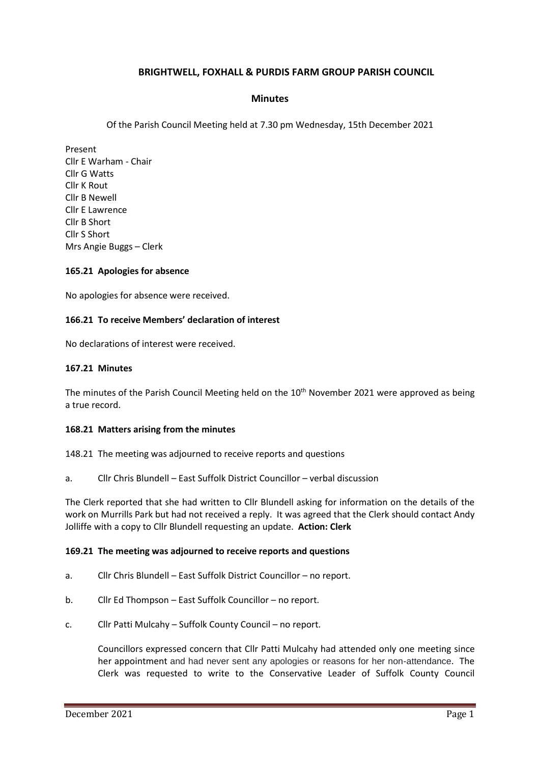# **BRIGHTWELL, FOXHALL & PURDIS FARM GROUP PARISH COUNCIL**

### **Minutes**

Of the Parish Council Meeting held at 7.30 pm Wednesday, 15th December 2021

Present Cllr E Warham - Chair Cllr G Watts Cllr K Rout Cllr B Newell Cllr E Lawrence Cllr B Short Cllr S Short Mrs Angie Buggs – Clerk

#### **165.21 Apologies for absence**

No apologies for absence were received.

#### **166.21 To receive Members' declaration of interest**

No declarations of interest were received.

#### **167.21 Minutes**

The minutes of the Parish Council Meeting held on the 10<sup>th</sup> November 2021 were approved as being a true record.

#### **168.21 Matters arising from the minutes**

148.21 The meeting was adjourned to receive reports and questions

a. Cllr Chris Blundell – East Suffolk District Councillor – verbal discussion

The Clerk reported that she had written to Cllr Blundell asking for information on the details of the work on Murrills Park but had not received a reply. It was agreed that the Clerk should contact Andy Jolliffe with a copy to Cllr Blundell requesting an update. **Action: Clerk**

#### **169.21 The meeting was adjourned to receive reports and questions**

- a. Cllr Chris Blundell East Suffolk District Councillor no report.
- b. Cllr Ed Thompson East Suffolk Councillor no report.
- c. Cllr Patti Mulcahy Suffolk County Council no report.

Councillors expressed concern that Cllr Patti Mulcahy had attended only one meeting since her appointment and had never sent any apologies or reasons for her non-attendance. The Clerk was requested to write to the Conservative Leader of Suffolk County Council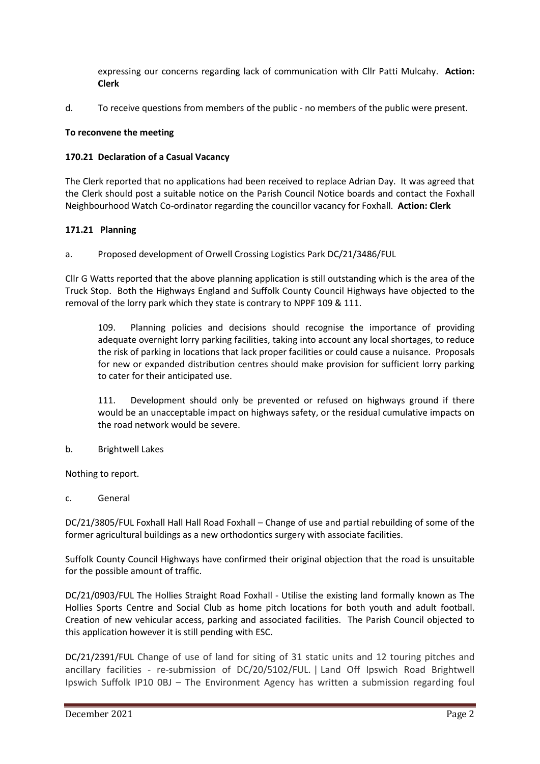expressing our concerns regarding lack of communication with Cllr Patti Mulcahy. **Action: Clerk**

d. To receive questions from members of the public - no members of the public were present.

### **To reconvene the meeting**

### **170.21 Declaration of a Casual Vacancy**

The Clerk reported that no applications had been received to replace Adrian Day. It was agreed that the Clerk should post a suitable notice on the Parish Council Notice boards and contact the Foxhall Neighbourhood Watch Co-ordinator regarding the councillor vacancy for Foxhall. **Action: Clerk**

### **171.21 Planning**

a. Proposed development of Orwell Crossing Logistics Park DC/21/3486/FUL

Cllr G Watts reported that the above planning application is still outstanding which is the area of the Truck Stop. Both the Highways England and Suffolk County Council Highways have objected to the removal of the lorry park which they state is contrary to NPPF 109 & 111.

109. Planning policies and decisions should recognise the importance of providing adequate overnight lorry parking facilities, taking into account any local shortages, to reduce the risk of parking in locations that lack proper facilities or could cause a nuisance. Proposals for new or expanded distribution centres should make provision for sufficient lorry parking to cater for their anticipated use.

111. Development should only be prevented or refused on highways ground if there would be an unacceptable impact on highways safety, or the residual cumulative impacts on the road network would be severe.

b. Brightwell Lakes

Nothing to report.

c. General

DC/21/3805/FUL Foxhall Hall Hall Road Foxhall – Change of use and partial rebuilding of some of the former agricultural buildings as a new orthodontics surgery with associate facilities.

Suffolk County Council Highways have confirmed their original objection that the road is unsuitable for the possible amount of traffic.

DC/21/0903/FUL The Hollies Straight Road Foxhall - Utilise the existing land formally known as The Hollies Sports Centre and Social Club as home pitch locations for both youth and adult football. Creation of new vehicular access, parking and associated facilities. The Parish Council objected to this application however it is still pending with ESC.

DC/21/2391/FUL Change of use of land for siting of 31 static units and 12 touring pitches and ancillary facilities - re-submission of DC/20/5102/FUL. | Land Off Ipswich Road Brightwell Ipswich Suffolk IP10 0BJ – The Environment Agency has written a submission regarding foul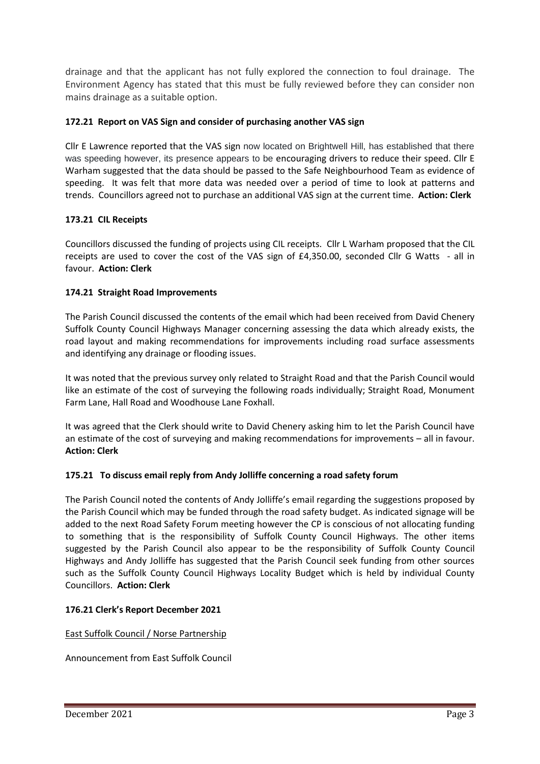drainage and that the applicant has not fully explored the connection to foul drainage. The Environment Agency has stated that this must be fully reviewed before they can consider non mains drainage as a suitable option.

# **172.21 Report on VAS Sign and consider of purchasing another VAS sign**

Cllr E Lawrence reported that the VAS sign now located on Brightwell Hill, has established that there was speeding however, its presence appears to be encouraging drivers to reduce their speed. Cllr E Warham suggested that the data should be passed to the Safe Neighbourhood Team as evidence of speeding. It was felt that more data was needed over a period of time to look at patterns and trends. Councillors agreed not to purchase an additional VAS sign at the current time. **Action: Clerk**

## **173.21 CIL Receipts**

Councillors discussed the funding of projects using CIL receipts. Cllr L Warham proposed that the CIL receipts are used to cover the cost of the VAS sign of £4,350.00, seconded Cllr G Watts - all in favour. **Action: Clerk**

## **174.21 Straight Road Improvements**

The Parish Council discussed the contents of the email which had been received from David Chenery Suffolk County Council Highways Manager concerning assessing the data which already exists, the road layout and making recommendations for improvements including road surface assessments and identifying any drainage or flooding issues.

It was noted that the previous survey only related to Straight Road and that the Parish Council would like an estimate of the cost of surveying the following roads individually; Straight Road, Monument Farm Lane, Hall Road and Woodhouse Lane Foxhall.

It was agreed that the Clerk should write to David Chenery asking him to let the Parish Council have an estimate of the cost of surveying and making recommendations for improvements – all in favour. **Action: Clerk**

## **175.21 To discuss email reply from Andy Jolliffe concerning a road safety forum**

The Parish Council noted the contents of Andy Jolliffe's email regarding the suggestions proposed by the Parish Council which may be funded through the road safety budget. As indicated signage will be added to the next Road Safety Forum meeting however the CP is conscious of not allocating funding to something that is the responsibility of Suffolk County Council Highways. The other items suggested by the Parish Council also appear to be the responsibility of Suffolk County Council Highways and Andy Jolliffe has suggested that the Parish Council seek funding from other sources such as the Suffolk County Council Highways Locality Budget which is held by individual County Councillors. **Action: Clerk** 

## **176.21 Clerk's Report December 2021**

## East Suffolk Council / Norse Partnership

Announcement from East Suffolk Council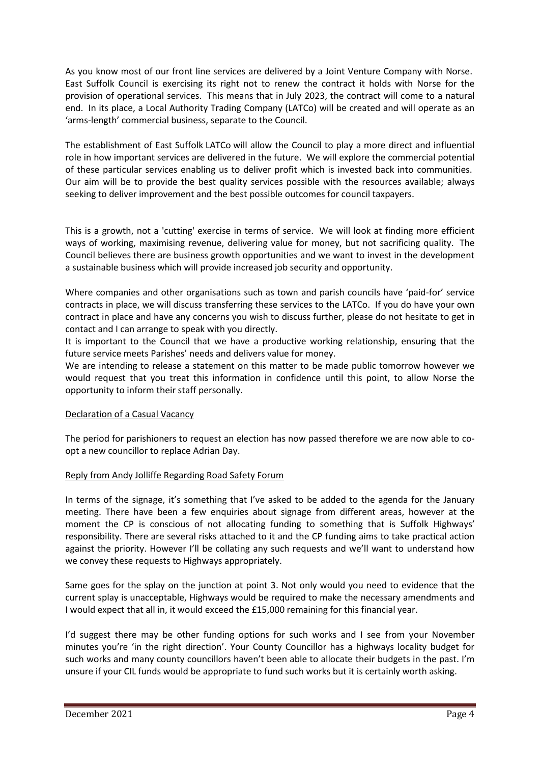As you know most of our front line services are delivered by a Joint Venture Company with Norse. East Suffolk Council is exercising its right not to renew the contract it holds with Norse for the provision of operational services. This means that in July 2023, the contract will come to a natural end. In its place, a Local Authority Trading Company (LATCo) will be created and will operate as an 'arms-length' commercial business, separate to the Council.

The establishment of East Suffolk LATCo will allow the Council to play a more direct and influential role in how important services are delivered in the future. We will explore the commercial potential of these particular services enabling us to deliver profit which is invested back into communities. Our aim will be to provide the best quality services possible with the resources available; always seeking to deliver improvement and the best possible outcomes for council taxpayers.

This is a growth, not a 'cutting' exercise in terms of service. We will look at finding more efficient ways of working, maximising revenue, delivering value for money, but not sacrificing quality. The Council believes there are business growth opportunities and we want to invest in the development a sustainable business which will provide increased job security and opportunity.

Where companies and other organisations such as town and parish councils have 'paid-for' service contracts in place, we will discuss transferring these services to the LATCo. If you do have your own contract in place and have any concerns you wish to discuss further, please do not hesitate to get in contact and I can arrange to speak with you directly.

It is important to the Council that we have a productive working relationship, ensuring that the future service meets Parishes' needs and delivers value for money.

We are intending to release a statement on this matter to be made public tomorrow however we would request that you treat this information in confidence until this point, to allow Norse the opportunity to inform their staff personally.

## Declaration of a Casual Vacancy

The period for parishioners to request an election has now passed therefore we are now able to coopt a new councillor to replace Adrian Day.

## Reply from Andy Jolliffe Regarding Road Safety Forum

In terms of the signage, it's something that I've asked to be added to the agenda for the January meeting. There have been a few enquiries about signage from different areas, however at the moment the CP is conscious of not allocating funding to something that is Suffolk Highways' responsibility. There are several risks attached to it and the CP funding aims to take practical action against the priority. However I'll be collating any such requests and we'll want to understand how we convey these requests to Highways appropriately.

Same goes for the splay on the junction at point 3. Not only would you need to evidence that the current splay is unacceptable, Highways would be required to make the necessary amendments and I would expect that all in, it would exceed the £15,000 remaining for this financial year.

I'd suggest there may be other funding options for such works and I see from your November minutes you're 'in the right direction'. Your County Councillor has a highways locality budget for such works and many county councillors haven't been able to allocate their budgets in the past. I'm unsure if your CIL funds would be appropriate to fund such works but it is certainly worth asking.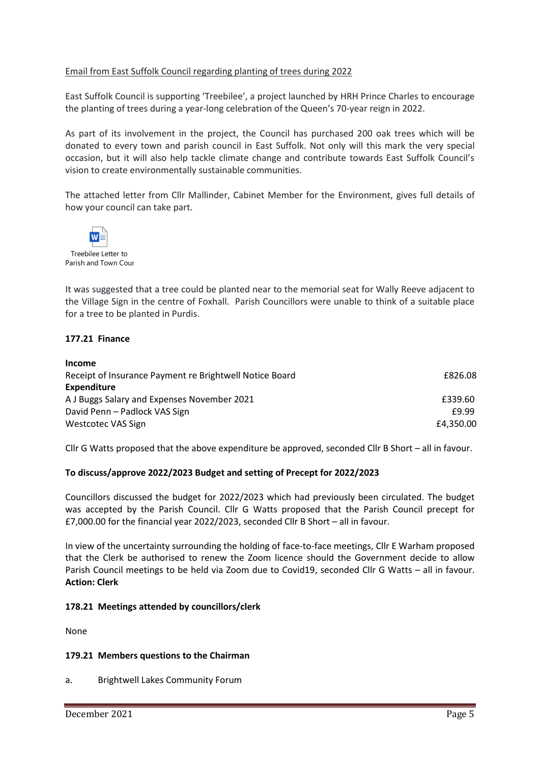### Email from East Suffolk Council regarding planting of trees during 2022

East Suffolk Council is supporting 'Treebilee', a project launched by HRH Prince Charles to encourage the planting of trees during a year-long celebration of the Queen's 70-year reign in 2022.

As part of its involvement in the project, the Council has purchased 200 oak trees which will be donated to every town and parish council in East Suffolk. Not only will this mark the very special occasion, but it will also help tackle climate change and contribute towards East Suffolk Council's vision to create environmentally sustainable communities.

The attached letter from Cllr Mallinder, Cabinet Member for the Environment, gives full details of how your council can take part.



Treebilee Letter to Parish and Town Cour

It was suggested that a tree could be planted near to the memorial seat for Wally Reeve adjacent to the Village Sign in the centre of Foxhall. Parish Councillors were unable to think of a suitable place for a tree to be planted in Purdis.

#### **177.21 Finance**

| <b>Income</b>                                           |           |
|---------------------------------------------------------|-----------|
| Receipt of Insurance Payment re Brightwell Notice Board | £826.08   |
| <b>Expenditure</b>                                      |           |
| A J Buggs Salary and Expenses November 2021             | £339.60   |
| David Penn - Padlock VAS Sign                           | £9.99     |
| Westcotec VAS Sign                                      | £4,350.00 |

Cllr G Watts proposed that the above expenditure be approved, seconded Cllr B Short – all in favour.

#### **To discuss/approve 2022/2023 Budget and setting of Precept for 2022/2023**

Councillors discussed the budget for 2022/2023 which had previously been circulated. The budget was accepted by the Parish Council. Cllr G Watts proposed that the Parish Council precept for £7,000.00 for the financial year 2022/2023, seconded Cllr B Short – all in favour.

In view of the uncertainty surrounding the holding of face-to-face meetings, Cllr E Warham proposed that the Clerk be authorised to renew the Zoom licence should the Government decide to allow Parish Council meetings to be held via Zoom due to Covid19, seconded Cllr G Watts – all in favour. **Action: Clerk** 

#### **178.21 Meetings attended by councillors/clerk**

None

#### **179.21 Members questions to the Chairman**

a. Brightwell Lakes Community Forum